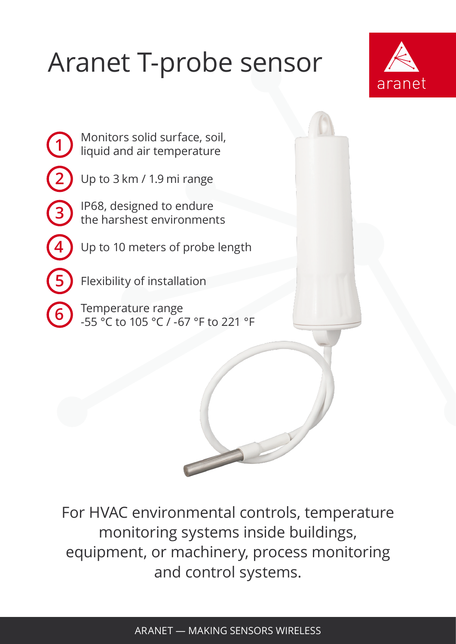## Aranet T-probe sensor



Monitors solid surface, soil, liquid and air temperature

**1**

**2**

**3**

**4**

Up to 3 km / 1.9 mi range

IP68, designed to endure the harshest environments

Up to 10 meters of probe length

**5** Flexibility of installation

**6** Temperature range -55 °C to 105 °C / -67 °F to 221 °F

For HVAC environmental controls, temperature monitoring systems inside buildings, equipment, or machinery, process monitoring and control systems.